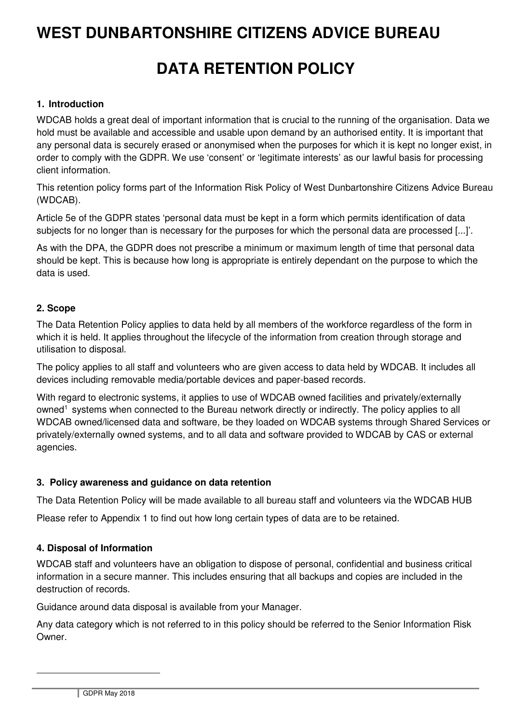# **WEST DUNBARTONSHIRE CITIZENS ADVICE BUREAU**

# **DATA RETENTION POLICY**

#### **1. Introduction**

WDCAB holds a great deal of important information that is crucial to the running of the organisation. Data we hold must be available and accessible and usable upon demand by an authorised entity. It is important that any personal data is securely erased or anonymised when the purposes for which it is kept no longer exist, in order to comply with the GDPR. We use 'consent' or 'legitimate interests' as our lawful basis for processing client information.

This retention policy forms part of the Information Risk Policy of West Dunbartonshire Citizens Advice Bureau (WDCAB).

Article 5e of the GDPR states 'personal data must be kept in a form which permits identification of data subjects for no longer than is necessary for the purposes for which the personal data are processed [...]'.

As with the DPA, the GDPR does not prescribe a minimum or maximum length of time that personal data should be kept. This is because how long is appropriate is entirely dependant on the purpose to which the data is used.

### **2. Scope**

The Data Retention Policy applies to data held by all members of the workforce regardless of the form in which it is held. It applies throughout the lifecycle of the information from creation through storage and utilisation to disposal.

The policy applies to all staff and volunteers who are given access to data held by WDCAB. It includes all devices including removable media/portable devices and paper-based records.

With regard to electronic systems, it applies to use of WDCAB owned facilities and privately/externally owned<sup>1</sup> systems when connected to the Bureau network directly or indirectly. The policy applies to all WDCAB owned/licensed data and software, be they loaded on WDCAB systems through Shared Services or privately/externally owned systems, and to all data and software provided to WDCAB by CAS or external agencies.

#### **3. Policy awareness and guidance on data retention**

The Data Retention Policy will be made available to all bureau staff and volunteers via the WDCAB HUB

Please refer to Appendix 1 to find out how long certain types of data are to be retained.

### **4. Disposal of Information**

WDCAB staff and volunteers have an obligation to dispose of personal, confidential and business critical information in a secure manner. This includes ensuring that all backups and copies are included in the destruction of records.

Guidance around data disposal is available from your Manager.

Any data category which is not referred to in this policy should be referred to the Senior Information Risk Owner.

 $\overline{a}$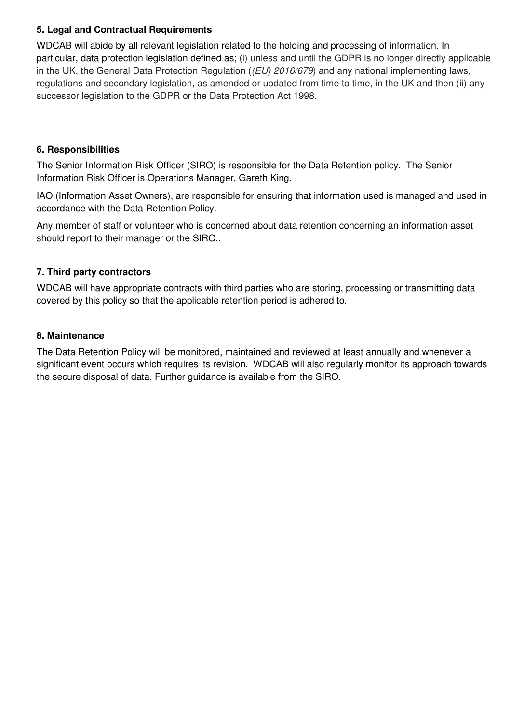### **5. Legal and Contractual Requirements**

WDCAB will abide by all relevant legislation related to the holding and processing of information. In particular, data protection legislation defined as; (i) unless and until the GDPR is no longer directly applicable in the UK, the General Data Protection Regulation ((EU) 2016/679) and any national implementing laws, regulations and secondary legislation, as amended or updated from time to time, in the UK and then (ii) any successor legislation to the GDPR or the Data Protection Act 1998.

#### **6. Responsibilities**

The Senior Information Risk Officer (SIRO) is responsible for the Data Retention policy. The Senior Information Risk Officer is Operations Manager, Gareth King.

IAO (Information Asset Owners), are responsible for ensuring that information used is managed and used in accordance with the Data Retention Policy.

Any member of staff or volunteer who is concerned about data retention concerning an information asset should report to their manager or the SIRO..

#### **7. Third party contractors**

WDCAB will have appropriate contracts with third parties who are storing, processing or transmitting data covered by this policy so that the applicable retention period is adhered to.

#### **8. Maintenance**

The Data Retention Policy will be monitored, maintained and reviewed at least annually and whenever a significant event occurs which requires its revision. WDCAB will also regularly monitor its approach towards the secure disposal of data. Further guidance is available from the SIRO.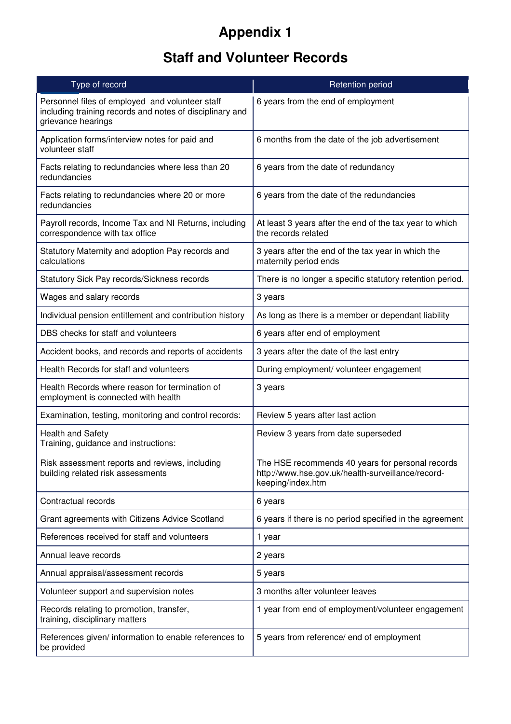# **Appendix 1**

# **Staff and Volunteer Records**

| Type of record                                                                                                                                                            | <b>Retention period</b>                                                                                                    |  |
|---------------------------------------------------------------------------------------------------------------------------------------------------------------------------|----------------------------------------------------------------------------------------------------------------------------|--|
| Personnel files of employed and volunteer staff<br>including training records and notes of disciplinary and<br>grievance hearings                                         | 6 years from the end of employment                                                                                         |  |
| Application forms/interview notes for paid and<br>volunteer staff                                                                                                         | 6 months from the date of the job advertisement                                                                            |  |
| Facts relating to redundancies where less than 20<br>redundancies                                                                                                         | 6 years from the date of redundancy                                                                                        |  |
| Facts relating to redundancies where 20 or more<br>redundancies                                                                                                           | 6 years from the date of the redundancies                                                                                  |  |
| Payroll records, Income Tax and NI Returns, including<br>At least 3 years after the end of the tax year to which<br>the records related<br>correspondence with tax office |                                                                                                                            |  |
| Statutory Maternity and adoption Pay records and<br>3 years after the end of the tax year in which the<br>calculations<br>maternity period ends                           |                                                                                                                            |  |
| Statutory Sick Pay records/Sickness records                                                                                                                               | There is no longer a specific statutory retention period.                                                                  |  |
| Wages and salary records                                                                                                                                                  | 3 years                                                                                                                    |  |
| Individual pension entitlement and contribution history                                                                                                                   | As long as there is a member or dependant liability                                                                        |  |
| DBS checks for staff and volunteers                                                                                                                                       | 6 years after end of employment                                                                                            |  |
| Accident books, and records and reports of accidents                                                                                                                      | 3 years after the date of the last entry                                                                                   |  |
| Health Records for staff and volunteers                                                                                                                                   | During employment/ volunteer engagement                                                                                    |  |
| Health Records where reason for termination of<br>employment is connected with health                                                                                     | 3 years                                                                                                                    |  |
| Examination, testing, monitoring and control records:                                                                                                                     | Review 5 years after last action                                                                                           |  |
| <b>Health and Safety</b><br>Training, guidance and instructions:                                                                                                          | Review 3 years from date superseded                                                                                        |  |
| Risk assessment reports and reviews, including<br>building related risk assessments                                                                                       | The HSE recommends 40 years for personal records<br>http://www.hse.gov.uk/health-surveillance/record-<br>keeping/index.htm |  |
| Contractual records                                                                                                                                                       | 6 years                                                                                                                    |  |
| Grant agreements with Citizens Advice Scotland                                                                                                                            | 6 years if there is no period specified in the agreement                                                                   |  |
| References received for staff and volunteers                                                                                                                              | 1 year                                                                                                                     |  |
| Annual leave records                                                                                                                                                      | 2 years                                                                                                                    |  |
| Annual appraisal/assessment records                                                                                                                                       | 5 years                                                                                                                    |  |
| Volunteer support and supervision notes                                                                                                                                   | 3 months after volunteer leaves                                                                                            |  |
| Records relating to promotion, transfer,<br>training, disciplinary matters                                                                                                | 1 year from end of employment/volunteer engagement                                                                         |  |
| References given/ information to enable references to<br>be provided                                                                                                      | 5 years from reference/ end of employment                                                                                  |  |